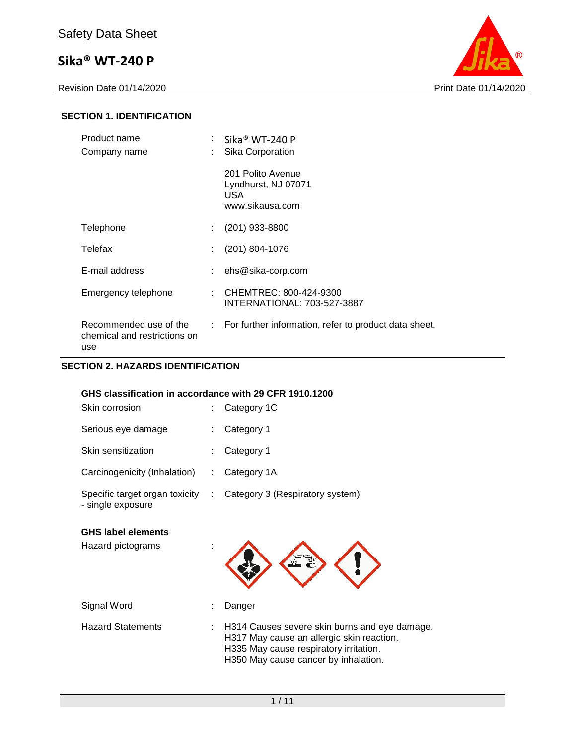Revision Date 01/14/2020 **Print Date 01/14/2020** 



#### **SECTION 1. IDENTIFICATION**

| Product name                                                  |        | $\colon$ Sika® WT-240 P<br>Sika Corporation                         |
|---------------------------------------------------------------|--------|---------------------------------------------------------------------|
| Company name                                                  |        | 201 Polito Avenue<br>Lyndhurst, NJ 07071<br>USA.<br>www.sikausa.com |
| Telephone                                                     |        | $(201)$ 933-8800                                                    |
| Telefax                                                       |        | (201) 804-1076                                                      |
| E-mail address                                                |        | ehs@sika-corp.com                                                   |
| Emergency telephone                                           | $\sim$ | CHEMTREC: 800-424-9300<br>INTERNATIONAL: 703-527-3887               |
| Recommended use of the<br>chemical and restrictions on<br>use |        | : For further information, refer to product data sheet.             |

#### **SECTION 2. HAZARDS IDENTIFICATION**

#### **GHS classification in accordance with 29 CFR 1910.1200**

| Skin corrosion                                      | $\therefore$ Category 1C        |
|-----------------------------------------------------|---------------------------------|
| Serious eye damage                                  | Category 1                      |
| Skin sensitization                                  | Category 1                      |
| Carcinogenicity (Inhalation)                        | Category 1A                     |
| Specific target organ toxicity<br>- single exposure | Category 3 (Respiratory system) |

#### **GHS label elements**

Hazard pictograms :



Hazard Statements : H314 Causes severe skin burns and eye damage. H317 May cause an allergic skin reaction. H335 May cause respiratory irritation. H350 May cause cancer by inhalation.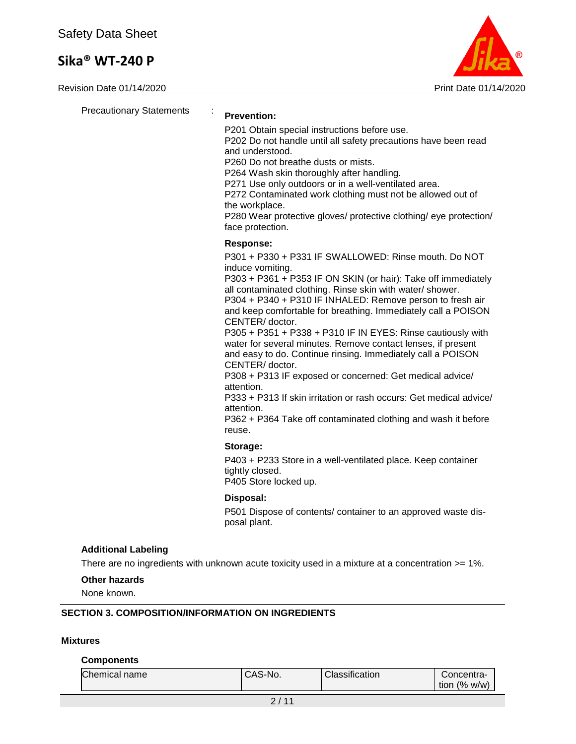Revision Date 01/14/2020 **Print Date 01/14/2020** 



| <b>Precautionary Statements</b> | <b>Prevention:</b><br>P201 Obtain special instructions before use.<br>P202 Do not handle until all safety precautions have been read<br>and understood.<br>P260 Do not breathe dusts or mists.<br>P264 Wash skin thoroughly after handling.<br>P271 Use only outdoors or in a well-ventilated area.<br>P272 Contaminated work clothing must not be allowed out of<br>the workplace.<br>P280 Wear protective gloves/ protective clothing/ eye protection/<br>face protection.                                                                                                                                                                                                                                                                                                                                                        |
|---------------------------------|-------------------------------------------------------------------------------------------------------------------------------------------------------------------------------------------------------------------------------------------------------------------------------------------------------------------------------------------------------------------------------------------------------------------------------------------------------------------------------------------------------------------------------------------------------------------------------------------------------------------------------------------------------------------------------------------------------------------------------------------------------------------------------------------------------------------------------------|
|                                 | <b>Response:</b><br>P301 + P330 + P331 IF SWALLOWED: Rinse mouth. Do NOT<br>induce vomiting.<br>P303 + P361 + P353 IF ON SKIN (or hair): Take off immediately<br>all contaminated clothing. Rinse skin with water/ shower.<br>P304 + P340 + P310 IF INHALED: Remove person to fresh air<br>and keep comfortable for breathing. Immediately call a POISON<br>CENTER/doctor.<br>P305 + P351 + P338 + P310 IF IN EYES: Rinse cautiously with<br>water for several minutes. Remove contact lenses, if present<br>and easy to do. Continue rinsing. Immediately call a POISON<br>CENTER/doctor.<br>P308 + P313 IF exposed or concerned: Get medical advice/<br>attention.<br>P333 + P313 If skin irritation or rash occurs: Get medical advice/<br>attention.<br>P362 + P364 Take off contaminated clothing and wash it before<br>reuse. |
|                                 | Storage:<br>P403 + P233 Store in a well-ventilated place. Keep container<br>tightly closed.<br>P405 Store locked up.                                                                                                                                                                                                                                                                                                                                                                                                                                                                                                                                                                                                                                                                                                                |
|                                 | Disposal:<br>P501 Dispose of contents/ container to an approved waste dis-<br>posal plant.                                                                                                                                                                                                                                                                                                                                                                                                                                                                                                                                                                                                                                                                                                                                          |
| <b>Additional Labeling</b>      | There are no ingredients with unknown acute toxicity used in a mixture at a concentration >= 1%.                                                                                                                                                                                                                                                                                                                                                                                                                                                                                                                                                                                                                                                                                                                                    |

#### **Other hazards**

None known.

#### **SECTION 3. COMPOSITION/INFORMATION ON INGREDIENTS**

#### **Mixtures**

#### **Components**

| Chemical name | CAS-No. | Classification | √oncentra-<br>$\frac{10}{6}$<br>W/W)<br>tion |
|---------------|---------|----------------|----------------------------------------------|
|---------------|---------|----------------|----------------------------------------------|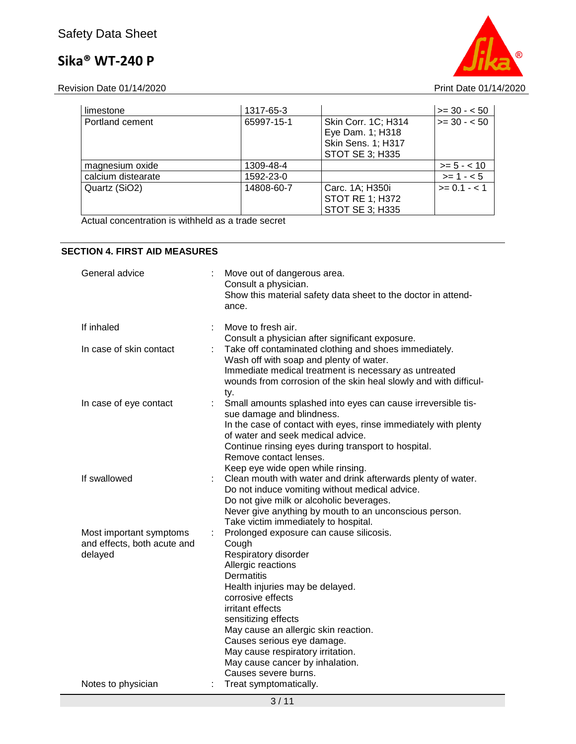Revision Date 01/14/2020 **Print Date 01/14/2020** 

| limestone          | 1317-65-3  |                                                                                         | $\ge$ = 30 - < 50 |
|--------------------|------------|-----------------------------------------------------------------------------------------|-------------------|
| Portland cement    | 65997-15-1 | Skin Corr. 1C; H314<br>Eye Dam. 1; H318<br><b>Skin Sens. 1; H317</b><br>STOT SE 3; H335 | $\ge$ = 30 - < 50 |
| magnesium oxide    | 1309-48-4  |                                                                                         | $>= 5 - < 10$     |
| calcium distearate | 1592-23-0  |                                                                                         | $>= 1 - 5$        |
| Quartz (SiO2)      | 14808-60-7 | Carc. 1A; H350i<br><b>STOT RE 1; H372</b><br>STOT SE 3; H335                            | $>= 0.1 - 1.1$    |

Actual concentration is withheld as a trade secret

#### **SECTION 4. FIRST AID MEASURES**

| General advice                                                    |    | Move out of dangerous area.<br>Consult a physician.<br>Show this material safety data sheet to the doctor in attend-<br>ance.                                                                                                                                                                                                                                                                |
|-------------------------------------------------------------------|----|----------------------------------------------------------------------------------------------------------------------------------------------------------------------------------------------------------------------------------------------------------------------------------------------------------------------------------------------------------------------------------------------|
| If inhaled                                                        |    | Move to fresh air.<br>Consult a physician after significant exposure.                                                                                                                                                                                                                                                                                                                        |
| In case of skin contact                                           |    | Take off contaminated clothing and shoes immediately.<br>Wash off with soap and plenty of water.<br>Immediate medical treatment is necessary as untreated<br>wounds from corrosion of the skin heal slowly and with difficul-<br>ty.                                                                                                                                                         |
| In case of eye contact                                            | ÷. | Small amounts splashed into eyes can cause irreversible tis-<br>sue damage and blindness.<br>In the case of contact with eyes, rinse immediately with plenty<br>of water and seek medical advice.<br>Continue rinsing eyes during transport to hospital.<br>Remove contact lenses.<br>Keep eye wide open while rinsing.                                                                      |
| If swallowed                                                      |    | Clean mouth with water and drink afterwards plenty of water.<br>Do not induce vomiting without medical advice.<br>Do not give milk or alcoholic beverages.<br>Never give anything by mouth to an unconscious person.<br>Take victim immediately to hospital.                                                                                                                                 |
| Most important symptoms<br>and effects, both acute and<br>delayed | ÷. | Prolonged exposure can cause silicosis.<br>Cough<br>Respiratory disorder<br>Allergic reactions<br><b>Dermatitis</b><br>Health injuries may be delayed.<br>corrosive effects<br>irritant effects<br>sensitizing effects<br>May cause an allergic skin reaction.<br>Causes serious eye damage.<br>May cause respiratory irritation.<br>May cause cancer by inhalation.<br>Causes severe burns. |
| Notes to physician                                                |    | Treat symptomatically.                                                                                                                                                                                                                                                                                                                                                                       |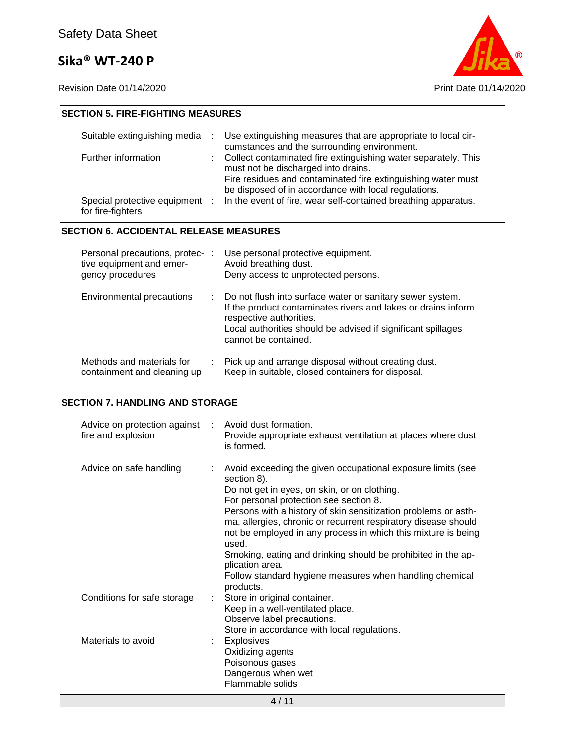

#### **SECTION 5. FIRE-FIGHTING MEASURES**

| Suitable extinguishing media                        | Use extinguishing measures that are appropriate to local cir-<br>cumstances and the surrounding environment.                                                                                                                    |
|-----------------------------------------------------|---------------------------------------------------------------------------------------------------------------------------------------------------------------------------------------------------------------------------------|
| Further information                                 | : Collect contaminated fire extinguishing water separately. This<br>must not be discharged into drains.<br>Fire residues and contaminated fire extinguishing water must<br>be disposed of in accordance with local regulations. |
| Special protective equipment :<br>for fire-fighters | In the event of fire, wear self-contained breathing apparatus.                                                                                                                                                                  |

#### **SECTION 6. ACCIDENTAL RELEASE MEASURES**

| Personal precautions, protec-:<br>tive equipment and emer-<br>gency procedures |    | Use personal protective equipment.<br>Avoid breathing dust.<br>Deny access to unprotected persons.                                                                                                                                            |
|--------------------------------------------------------------------------------|----|-----------------------------------------------------------------------------------------------------------------------------------------------------------------------------------------------------------------------------------------------|
| Environmental precautions                                                      | ÷. | Do not flush into surface water or sanitary sewer system.<br>If the product contaminates rivers and lakes or drains inform<br>respective authorities.<br>Local authorities should be advised if significant spillages<br>cannot be contained. |
| Methods and materials for<br>containment and cleaning up                       |    | Pick up and arrange disposal without creating dust.<br>Keep in suitable, closed containers for disposal.                                                                                                                                      |

#### **SECTION 7. HANDLING AND STORAGE**

| Advice on protection against : Avoid dust formation.<br>fire and explosion | Provide appropriate exhaust ventilation at places where dust<br>is formed.                                                                                                                                                                                                                                                                                                                                                                                                                                                                    |
|----------------------------------------------------------------------------|-----------------------------------------------------------------------------------------------------------------------------------------------------------------------------------------------------------------------------------------------------------------------------------------------------------------------------------------------------------------------------------------------------------------------------------------------------------------------------------------------------------------------------------------------|
| Advice on safe handling                                                    | Avoid exceeding the given occupational exposure limits (see<br>section 8).<br>Do not get in eyes, on skin, or on clothing.<br>For personal protection see section 8.<br>Persons with a history of skin sensitization problems or asth-<br>ma, allergies, chronic or recurrent respiratory disease should<br>not be employed in any process in which this mixture is being<br>used.<br>Smoking, eating and drinking should be prohibited in the ap-<br>plication area.<br>Follow standard hygiene measures when handling chemical<br>products. |
| Conditions for safe storage<br>÷.                                          | Store in original container.<br>Keep in a well-ventilated place.<br>Observe label precautions.<br>Store in accordance with local regulations.                                                                                                                                                                                                                                                                                                                                                                                                 |
| Materials to avoid                                                         | : Explosives<br>Oxidizing agents<br>Poisonous gases<br>Dangerous when wet<br>Flammable solids                                                                                                                                                                                                                                                                                                                                                                                                                                                 |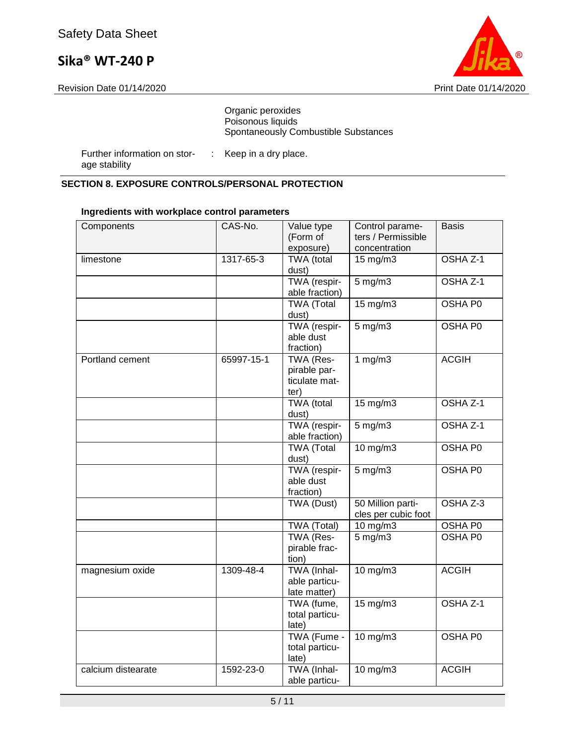Revision Date 01/14/2020 **Print Date 01/14/2020** 



#### Organic peroxides Poisonous liquids Spontaneously Combustible Substances

Further information on storage stability : Keep in a dry place.

#### **SECTION 8. EXPOSURE CONTROLS/PERSONAL PROTECTION**

| Components         | CAS-No.    | Value type<br>(Form of<br>exposure)                | Control parame-<br>ters / Permissible<br>concentration | <b>Basis</b>   |
|--------------------|------------|----------------------------------------------------|--------------------------------------------------------|----------------|
| limestone          | 1317-65-3  | <b>TWA</b> (total<br>dust)                         | 15 mg/m3                                               | OSHA Z-1       |
|                    |            | TWA (respir-<br>able fraction)                     | $5 \overline{\mathrm{mg}}$ m3                          | OSHA Z-1       |
|                    |            | <b>TWA</b> (Total<br>dust)                         | $15 \text{ mg/m}$                                      | <b>OSHA P0</b> |
|                    |            | TWA (respir-<br>able dust<br>fraction)             | $5$ mg/m $3$                                           | OSHA P0        |
| Portland cement    | 65997-15-1 | TWA (Res-<br>pirable par-<br>ticulate mat-<br>ter) | 1 $mg/m3$                                              | <b>ACGIH</b>   |
|                    |            | TWA (total<br>dust)                                | 15 mg/m3                                               | OSHA Z-1       |
|                    |            | TWA (respir-<br>able fraction)                     | $5 \text{ mg/m}$                                       | OSHA Z-1       |
|                    |            | TWA (Total<br>dust)                                | $10$ mg/m $3$                                          | OSHA P0        |
|                    |            | TWA (respir-<br>able dust<br>fraction)             | $5$ mg/m $3$                                           | OSHA P0        |
|                    |            | TWA (Dust)                                         | 50 Million parti-<br>cles per cubic foot               | OSHA Z-3       |
|                    |            | TWA (Total)                                        | $10$ mg/m3                                             | OSHA P0        |
|                    |            | <b>TWA (Res-</b><br>pirable frac-<br>tion)         | $5 \text{ mg/m}$                                       | <b>OSHA P0</b> |
| magnesium oxide    | 1309-48-4  | TWA (Inhal-<br>able particu-<br>late matter)       | 10 mg/m3                                               | <b>ACGIH</b>   |
|                    |            | TWA (fume,<br>total particu-<br>late)              | $15 \text{ mg/m}$                                      | OSHA Z-1       |
|                    |            | TWA (Fume -<br>total particu-<br>late)             | 10 mg/m3                                               | OSHA P0        |
| calcium distearate | 1592-23-0  | TWA (Inhal-<br>able particu-                       | 10 mg/m3                                               | <b>ACGIH</b>   |

#### **Ingredients with workplace control parameters**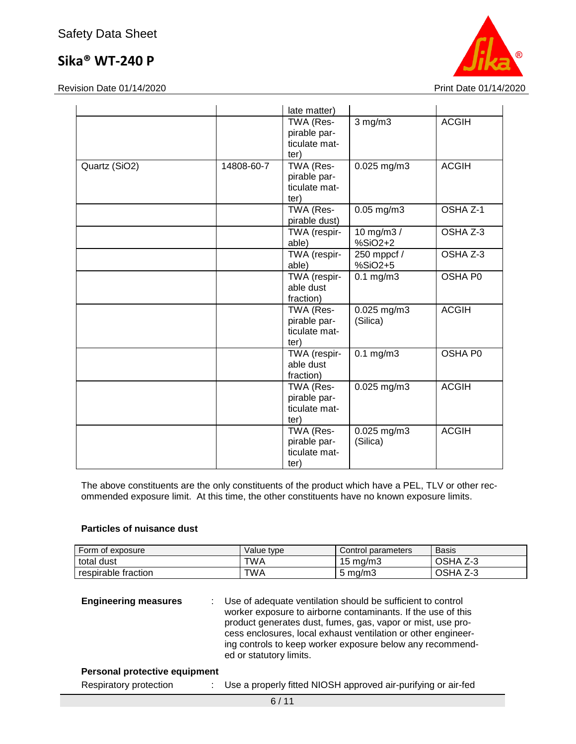

Revision Date 01/14/2020 **Print Date 01/14/2020** 

|               |            | late matter)                                       |                         |              |
|---------------|------------|----------------------------------------------------|-------------------------|--------------|
|               |            | TWA (Res-<br>pirable par-<br>ticulate mat-<br>ter) | $3$ mg/m $3$            | <b>ACGIH</b> |
| Quartz (SiO2) | 14808-60-7 | TWA (Res-<br>pirable par-<br>ticulate mat-<br>ter) | $0.025$ mg/m3           | <b>ACGIH</b> |
|               |            | TWA (Res-<br>pirable dust)                         | $0.05$ mg/m $3$         | OSHA Z-1     |
|               |            | TWA (respir-<br>able)                              | 10 mg/m3 /<br>%SiO2+2   | OSHA Z-3     |
|               |            | TWA (respir-<br>able)                              | 250 mppcf /<br>%SiO2+5  | OSHA Z-3     |
|               |            | TWA (respir-<br>able dust<br>fraction)             | $0.1$ mg/m $3$          | OSHA P0      |
|               |            | TWA (Res-<br>pirable par-<br>ticulate mat-<br>ter) | 0.025 mg/m3<br>(Silica) | <b>ACGIH</b> |
|               |            | TWA (respir-<br>able dust<br>fraction)             | $0.1 \text{ mg/m}$      | OSHA P0      |
|               |            | TWA (Res-<br>pirable par-<br>ticulate mat-<br>ter) | $0.025$ mg/m3           | <b>ACGIH</b> |
|               |            | TWA (Res-<br>pirable par-<br>ticulate mat-<br>ter) | 0.025 mg/m3<br>(Silica) | <b>ACGIH</b> |

The above constituents are the only constituents of the product which have a PEL, TLV or other recommended exposure limit. At this time, the other constituents have no known exposure limits.

#### **Particles of nuisance dust**

| Form of exposure    | Value type | Control parameters | <b>Basis</b>              |
|---------------------|------------|--------------------|---------------------------|
| total dust          | TWA        | $15 \text{ ma/m}$  | <b>OSHA</b><br>د-∠        |
| respirable fraction | TWA        | $5 \text{ ma/m}$   | <b>OSHA</b><br>ヮ ∩<br>د-∠ |

#### **Personal protective equipment**

| Respiratory protection |  | Use a properly fitted NIOSH approved air-purifying or air-fed |
|------------------------|--|---------------------------------------------------------------|
|------------------------|--|---------------------------------------------------------------|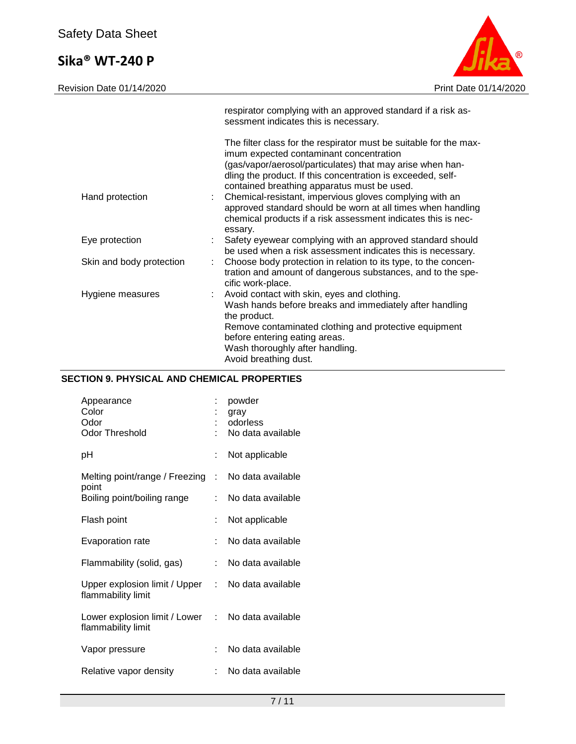

|                          |    | respirator complying with an approved standard if a risk as-<br>sessment indicates this is necessary.                                                                                                                                                                                   |
|--------------------------|----|-----------------------------------------------------------------------------------------------------------------------------------------------------------------------------------------------------------------------------------------------------------------------------------------|
|                          |    | The filter class for the respirator must be suitable for the max-<br>imum expected contaminant concentration<br>(gas/vapor/aerosol/particulates) that may arise when han-<br>dling the product. If this concentration is exceeded, self-<br>contained breathing apparatus must be used. |
| Hand protection          | ÷. | Chemical-resistant, impervious gloves complying with an<br>approved standard should be worn at all times when handling<br>chemical products if a risk assessment indicates this is nec-<br>essary.                                                                                      |
| Eye protection           |    | Safety eyewear complying with an approved standard should<br>be used when a risk assessment indicates this is necessary.                                                                                                                                                                |
| Skin and body protection |    | Choose body protection in relation to its type, to the concen-<br>tration and amount of dangerous substances, and to the spe-<br>cific work-place.                                                                                                                                      |
| Hygiene measures         |    | : Avoid contact with skin, eyes and clothing.<br>Wash hands before breaks and immediately after handling<br>the product.<br>Remove contaminated clothing and protective equipment<br>before entering eating areas.<br>Wash thoroughly after handling.<br>Avoid breathing dust.          |

### **SECTION 9. PHYSICAL AND CHEMICAL PROPERTIES**

| Appearance<br>Color<br>Odor<br><b>Odor Threshold</b>  |                            | powder<br>gray<br>odorless<br>No data available |
|-------------------------------------------------------|----------------------------|-------------------------------------------------|
| рH                                                    |                            | Not applicable                                  |
| Melting point/range / Freezing<br>point               | t.                         | No data available                               |
| Boiling point/boiling range                           |                            | No data available                               |
| Flash point                                           | ÷                          | Not applicable                                  |
| Evaporation rate                                      |                            | No data available                               |
| Flammability (solid, gas)                             | t.                         | No data available                               |
| Upper explosion limit / Upper :<br>flammability limit |                            | No data available                               |
| Lower explosion limit / Lower<br>flammability limit   | $\mathcal{L}^{\text{max}}$ | No data available                               |
| Vapor pressure                                        |                            | No data available                               |
| Relative vapor density                                | t.                         | No data available                               |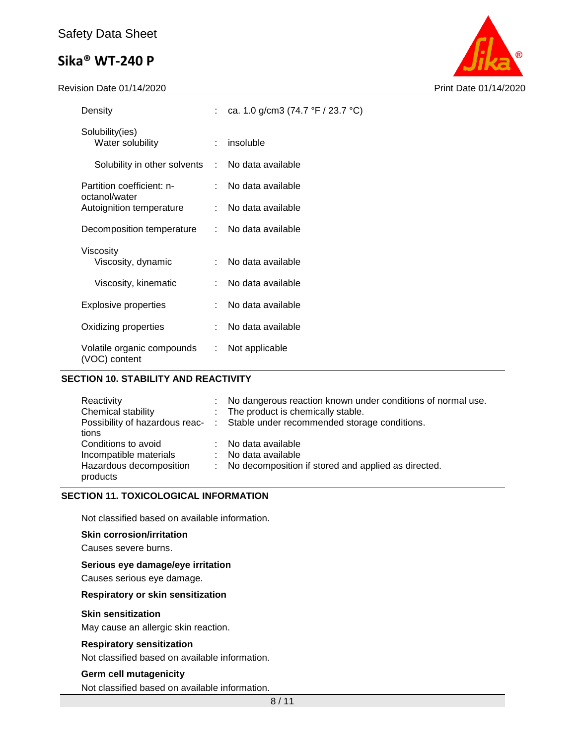#### Revision Date 01/14/2020 **Print Date 01/14/2020**



| Density                                          |    | ca. 1.0 g/cm3 (74.7 $\degree$ F / 23.7 $\degree$ C) |  |
|--------------------------------------------------|----|-----------------------------------------------------|--|
| Solubility(ies)<br>Water solubility              |    | insoluble                                           |  |
| Solubility in other solvents : No data available |    |                                                     |  |
| Partition coefficient: n-<br>octanol/water       |    | No data available                                   |  |
| Autoignition temperature                         | ÷. | No data available                                   |  |
| Decomposition temperature                        |    | : No data available                                 |  |
| Viscosity<br>Viscosity, dynamic                  |    | No data available                                   |  |
| Viscosity, kinematic                             |    | No data available                                   |  |
| <b>Explosive properties</b>                      |    | No data available                                   |  |
| Oxidizing properties                             |    | No data available                                   |  |
| Volatile organic compounds<br>(VOC) content      | ÷. | Not applicable                                      |  |

#### **SECTION 10. STABILITY AND REACTIVITY**

| Reactivity                          | No dangerous reaction known under conditions of normal use.                   |
|-------------------------------------|-------------------------------------------------------------------------------|
| Chemical stability                  | : The product is chemically stable.                                           |
|                                     | Possibility of hazardous reac- : Stable under recommended storage conditions. |
| tions                               |                                                                               |
| Conditions to avoid                 | No data available                                                             |
| Incompatible materials              | No data available                                                             |
| Hazardous decomposition<br>products | No decomposition if stored and applied as directed.                           |

#### **SECTION 11. TOXICOLOGICAL INFORMATION**

Not classified based on available information.

#### **Skin corrosion/irritation**

Causes severe burns.

#### **Serious eye damage/eye irritation**

Causes serious eye damage.

#### **Respiratory or skin sensitization**

#### **Skin sensitization**

May cause an allergic skin reaction.

#### **Respiratory sensitization**

Not classified based on available information.

#### **Germ cell mutagenicity**

Not classified based on available information.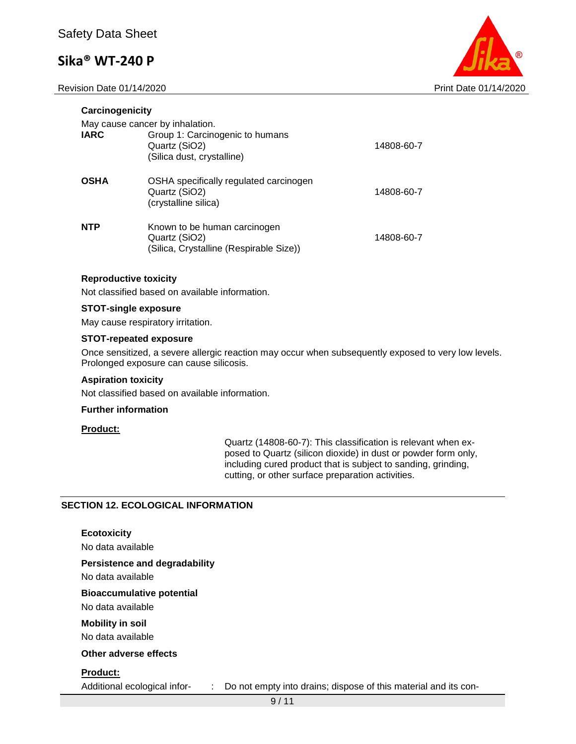Revision Date 01/14/2020 Print Date 01/14/2020

**Carcinogenicity**



| Carcinogenicity |                                                                                                                   |            |
|-----------------|-------------------------------------------------------------------------------------------------------------------|------------|
| <b>IARC</b>     | May cause cancer by inhalation.<br>Group 1: Carcinogenic to humans<br>Quartz (SiO2)<br>(Silica dust, crystalline) | 14808-60-7 |
| <b>OSHA</b>     | OSHA specifically regulated carcinogen<br>Quartz (SiO2)<br>(crystalline silica)                                   | 14808-60-7 |
| <b>NTP</b>      | Known to be human carcinogen<br>Quartz (SiO2)<br>(Silica, Crystalline (Respirable Size))                          | 14808-60-7 |

#### **Reproductive toxicity**

Not classified based on available information.

#### **STOT-single exposure**

May cause respiratory irritation.

#### **STOT-repeated exposure**

Once sensitized, a severe allergic reaction may occur when subsequently exposed to very low levels. Prolonged exposure can cause silicosis.

#### **Aspiration toxicity**

Not classified based on available information.

#### **Further information**

#### **Product:**

Quartz (14808-60-7): This classification is relevant when exposed to Quartz (silicon dioxide) in dust or powder form only, including cured product that is subject to sanding, grinding, cutting, or other surface preparation activities.

#### **SECTION 12. ECOLOGICAL INFORMATION**

**Ecotoxicity** No data available **Persistence and degradability** No data available **Bioaccumulative potential** No data available **Mobility in soil** No data available **Other adverse effects Product:**

Additional ecological infor- : Do not empty into drains; dispose of this material and its con-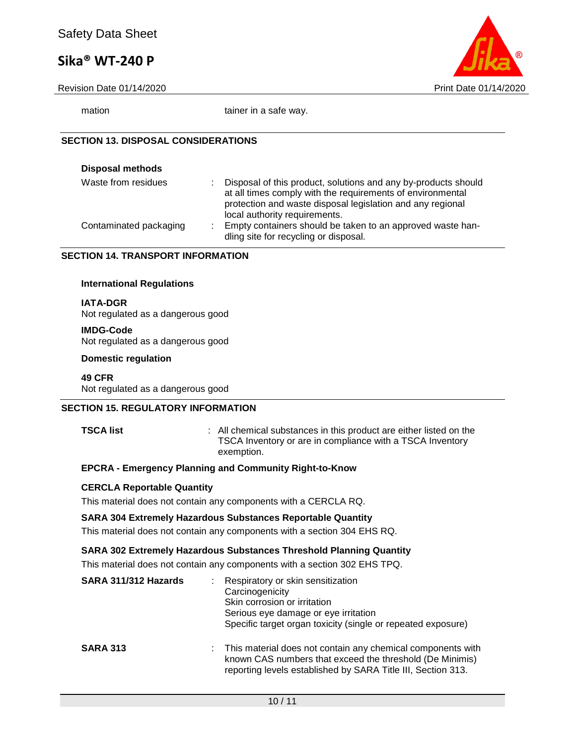Revision Date 01/14/2020 **Print Date 01/14/2020** 



mation tainer in a safe way.

#### **SECTION 13. DISPOSAL CONSIDERATIONS**

| <b>Disposal methods</b> |   |                                                                                                                                                                                                                             |
|-------------------------|---|-----------------------------------------------------------------------------------------------------------------------------------------------------------------------------------------------------------------------------|
| Waste from residues     | ÷ | Disposal of this product, solutions and any by-products should<br>at all times comply with the requirements of environmental<br>protection and waste disposal legislation and any regional<br>local authority requirements. |
| Contaminated packaging  | ÷ | Empty containers should be taken to an approved waste han-<br>dling site for recycling or disposal.                                                                                                                         |

#### **SECTION 14. TRANSPORT INFORMATION**

#### **International Regulations**

#### **IATA-DGR**

Not regulated as a dangerous good

#### **IMDG-Code**

Not regulated as a dangerous good

#### **Domestic regulation**

**49 CFR** Not regulated as a dangerous good

#### **SECTION 15. REGULATORY INFORMATION**

**TSCA list** : All chemical substances in this product are either listed on the TSCA Inventory or are in compliance with a TSCA Inventory exemption.

#### **EPCRA - Emergency Planning and Community Right-to-Know**

#### **CERCLA Reportable Quantity**

This material does not contain any components with a CERCLA RQ.

#### **SARA 304 Extremely Hazardous Substances Reportable Quantity**

This material does not contain any components with a section 304 EHS RQ.

#### **SARA 302 Extremely Hazardous Substances Threshold Planning Quantity**

This material does not contain any components with a section 302 EHS TPQ.

| SARA 311/312 Hazards |    | Respiratory or skin sensitization<br>Carcinogenicity<br>Skin corrosion or irritation<br>Serious eye damage or eye irritation<br>Specific target organ toxicity (single or repeated exposure) |
|----------------------|----|----------------------------------------------------------------------------------------------------------------------------------------------------------------------------------------------|
| <b>SARA 313</b>      | ÷. | This material does not contain any chemical components with<br>known CAS numbers that exceed the threshold (De Minimis)<br>reporting levels established by SARA Title III, Section 313.      |